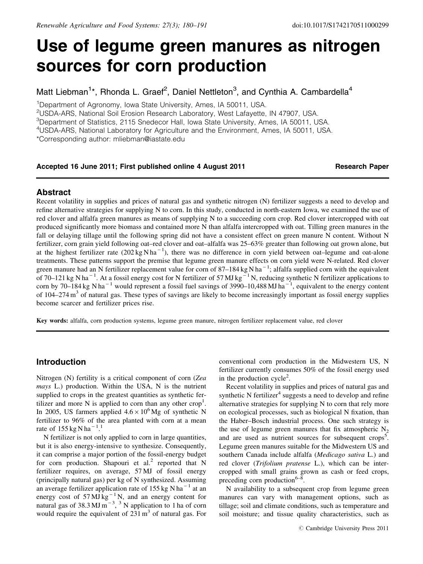# Use of legume green manures as nitrogen sources for corn production

Matt Liebman<sup>1\*</sup>, Rhonda L. Graef<sup>2</sup>, Daniel Nettleton<sup>3</sup>, and Cynthia A. Cambardella<sup>4</sup>

<sup>1</sup>Department of Agronomy, Iowa State University, Ames, IA 50011, USA.

<sup>2</sup>USDA-ARS, National Soil Erosion Research Laboratory, West Lafayette, IN 47907, USA.

3 Department of Statistics, 2115 Snedecor Hall, Iowa State University, Ames, IA 50011, USA.

<sup>4</sup>USDA-ARS, National Laboratory for Agriculture and the Environment, Ames, IA 50011, USA.

\*Corresponding author: mliebman@iastate.edu

## Accepted 16 June 2011; First published online 4 August 2011 **Research Paper** Research Paper

#### Abstract

Recent volatility in supplies and prices of natural gas and synthetic nitrogen (N) fertilizer suggests a need to develop and refine alternative strategies for supplying N to corn. In this study, conducted in north-eastern Iowa, we examined the use of red clover and alfalfa green manures as means of supplying N to a succeeding corn crop. Red clover intercropped with oat produced significantly more biomass and contained more N than alfalfa intercropped with oat. Tilling green manures in the fall or delaying tillage until the following spring did not have a consistent effect on green manure N content. Without N fertilizer, corn grain yield following oat–red clover and oat–alfalfa was 25–63% greater than following oat grown alone, but at the highest fertilizer rate  $(202 \text{ kg N} \text{h}a^{-1})$ , there was no difference in corn yield between oat-legume and oat-alone treatments. These patterns support the premise that legume green manure effects on corn yield were N-related. Red clover green manure had an N fertilizer replacement value for corn of 87–184 kg N ha<sup>-1</sup>; alfalfa supplied corn with the equivalent of 70–121 kg N ha<sup>-1</sup>. At a fossil energy cost for N fertilizer of 57 MJ kg<sup>-1</sup> N, reducing synthetic N fertilizer applications to corn by 70–184 kg N ha<sup>-1</sup> would represent a fossil fuel savings of 3990–10,488 MJ ha<sup>-1</sup>, equivalent to the energy content of  $104-274 \text{ m}^3$  of natural gas. These types of savings are likely to become increasingly important as fossil energy supplies become scarcer and fertilizer prices rise.

Key words: alfalfa, corn production systems, legume green manure, nitrogen fertilizer replacement value, red clover

## Introduction

Nitrogen (N) fertility is a critical component of corn (Zea mays L.) production. Within the USA, N is the nutrient supplied to crops in the greatest quantities as synthetic fertilizer and more  $N$  is applied to corn than any other crop<sup>1</sup>. In 2005, US farmers applied  $4.6 \times 10^6$  Mg of synthetic N fertilizer to 96% of the area planted with corn at a mean rate of  $155 \text{ kg} \text{ N} \text{ ha}^{-1}$ .<sup>1</sup>

N fertilizer is not only applied to corn in large quantities, but it is also energy-intensive to synthesize. Consequently, it can comprise a major portion of the fossil-energy budget for corn production. Shapouri et  $al^2$  reported that N fertilizer requires, on average, 57 MJ of fossil energy (principally natural gas) per kg of N synthesized. Assuming an average fertilizer application rate of  $155 \text{ kg N}$  ha<sup>-1</sup> at an energy cost of  $57 \text{ MJ kg}^{-1}$  N, and an energy content for natural gas of  $38.3 \text{ MJ m}^{-3}$ ,  $3 \text{ N}$  application to 1 ha of corn would require the equivalent of  $231 \text{ m}^3$  of natural gas. For conventional corn production in the Midwestern US, N fertilizer currently consumes 50% of the fossil energy used in the production cycle<sup>2</sup>.

Recent volatility in supplies and prices of natural gas and synthetic N fertilizer $4$  suggests a need to develop and refine alternative strategies for supplying N to corn that rely more on ecological processes, such as biological N fixation, than the Haber–Bosch industrial process. One such strategy is the use of legume green manures that fix atmospheric  $N_2$ and are used as nutrient sources for subsequent crops<sup>5</sup>. Legume green manures suitable for the Midwestern US and southern Canada include alfalfa (Medicago sativa L.) and red clover (Trifolium pratense L.), which can be intercropped with small grains grown as cash or feed crops, preceding corn production $6-8$ .

N availability to a subsequent crop from legume green manures can vary with management options, such as tillage; soil and climate conditions, such as temperature and soil moisture; and tissue quality characteristics, such as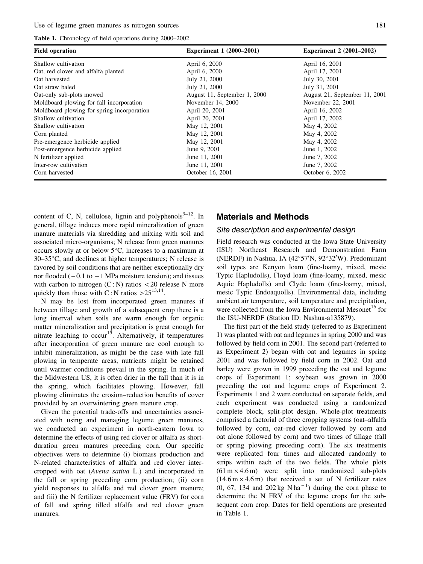Use of legume green manures as nitrogen sources 181

Table 1. Chronology of field operations during 2000–2002.

| <b>Field operation</b>                     | <b>Experiment 1 (2000–2001)</b> | <b>Experiment 2 (2001–2002)</b> |
|--------------------------------------------|---------------------------------|---------------------------------|
| Shallow cultivation                        | April 6, 2000                   | April 16, 2001                  |
| Oat, red clover and alfalfa planted        | April 6, 2000                   | April 17, 2001                  |
| Oat harvested                              | July 21, 2000                   | July 30, 2001                   |
| Oat straw baled                            | July 21, 2000                   | July 31, 2001                   |
| Oat-only sub-plots mowed                   | August 11, September 1, 2000    | August 21, September 11, 2001   |
| Moldboard plowing for fall incorporation   | November 14, 2000               | November 22, 2001               |
| Moldboard plowing for spring incorporation | April 20, 2001                  | April 16, 2002                  |
| Shallow cultivation                        | April 20, 2001                  | April 17, 2002                  |
| Shallow cultivation                        | May 12, 2001                    | May 4, 2002                     |
| Corn planted                               | May 12, 2001                    | May 4, 2002                     |
| Pre-emergence herbicide applied            | May 12, 2001                    | May 4, 2002                     |
| Post-emergence herbicide applied           | June 9, 2001                    | June 1, 2002                    |
| N fertilizer applied                       | June 11, 2001                   | June 7, 2002                    |
| Inter-row cultivation                      | June 11, 2001                   | June 7, 2002                    |
| Corn harvested                             | October 16, 2001                | October 6, 2002                 |

content of C, N, cellulose, lignin and polyphenols<sup>9–12</sup>. In general, tillage induces more rapid mineralization of green manure materials via shredding and mixing with soil and associated micro-organisms; N release from green manures occurs slowly at or below  $5^{\circ}$ C, increases to a maximum at  $30-35^{\circ}$ C, and declines at higher temperatures; N release is favored by soil conditions that are neither exceptionally dry nor flooded  $(-0.1$  to  $-1$  MPa moisture tension); and tissues with carbon to nitrogen  $(C: N)$  ratios  $\lt 20$  release N more quickly than those with C: N ratios  $>25^{13,14}$ .

N may be lost from incorporated green manures if between tillage and growth of a subsequent crop there is a long interval when soils are warm enough for organic matter mineralization and precipitation is great enough for nitrate leaching to occur<sup>15</sup>. Alternatively, if temperatures after incorporation of green manure are cool enough to inhibit mineralization, as might be the case with late fall plowing in temperate areas, nutrients might be retained until warmer conditions prevail in the spring. In much of the Midwestern US, it is often drier in the fall than it is in the spring, which facilitates plowing. However, fall plowing eliminates the erosion–reduction benefits of cover provided by an overwintering green manure crop.

Given the potential trade-offs and uncertainties associated with using and managing legume green manures, we conducted an experiment in north-eastern Iowa to determine the effects of using red clover or alfalfa as shortduration green manures preceding corn. Our specific objectives were to determine (i) biomass production and N-related characteristics of alfalfa and red clover intercropped with oat (Avena sativa L.) and incorporated in the fall or spring preceding corn production; (ii) corn yield responses to alfalfa and red clover green manure; and (iii) the N fertilizer replacement value (FRV) for corn of fall and spring tilled alfalfa and red clover green manures.

## Materials and Methods

## Site description and experimental design

Field research was conducted at the Iowa State University (ISU) Northeast Research and Demonstration Farm (NERDF) in Nashua, IA (42°57'N, 92°32'W). Predominant soil types are Kenyon loam (fine-loamy, mixed, mesic Typic Hapludolls), Floyd loam (fine-loamy, mixed, mesic Aquic Hapludolls) and Clyde loam (fine-loamy, mixed, mesic Typic Endoaquolls). Environmental data, including ambient air temperature, soil temperature and precipitation, were collected from the Iowa Environmental Mesonet<sup>16</sup> for the ISU-NERDF (Station ID: Nashua-a135879).

The first part of the field study (referred to as Experiment 1) was planted with oat and legumes in spring 2000 and was followed by field corn in 2001. The second part (referred to as Experiment 2) began with oat and legumes in spring 2001 and was followed by field corn in 2002. Oat and barley were grown in 1999 preceding the oat and legume crops of Experiment 1; soybean was grown in 2000 preceding the oat and legume crops of Experiment 2. Experiments 1 and 2 were conducted on separate fields, and each experiment was conducted using a randomized complete block, split-plot design. Whole-plot treatments comprised a factorial of three cropping systems (oat–alfalfa followed by corn, oat–red clover followed by corn and oat alone followed by corn) and two times of tillage (fall or spring plowing preceding corn). The six treatments were replicated four times and allocated randomly to strips within each of the two fields. The whole plots  $(61 \text{ m} \times 4.6 \text{ m})$  were split into randomized sub-plots  $(14.6 \text{ m} \times 4.6 \text{ m})$  that received a set of N fertilizer rates  $(0, 67, 134$  and  $202 \text{ kg N} \text{h} \text{a}^{-1})$  during the corn phase to determine the N FRV of the legume crops for the subsequent corn crop. Dates for field operations are presented in Table 1.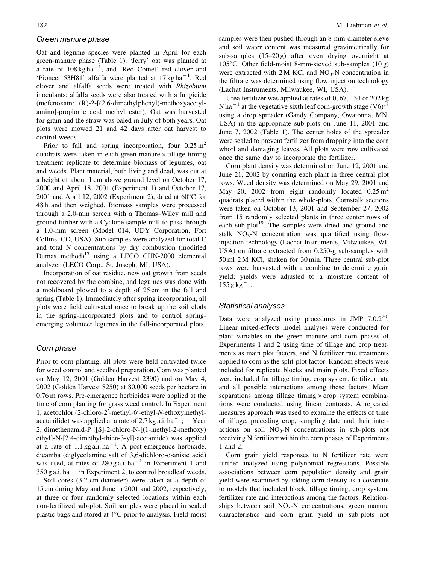#### Green manure phase

Oat and legume species were planted in April for each green-manure phase (Table 1). 'Jerry' oat was planted at a rate of  $108 \text{ kg ha}^{-1}$ , and 'Red Comet' red clover and 'Pioneer 53H81' alfalfa were planted at  $17 \text{ kg ha}^{-1}$ . Red clover and alfalfa seeds were treated with Rhizobium inoculants; alfalfa seeds were also treated with a fungicide (mefenoxam: (R)-2-[(2,6-dimethylphenyl)-methoxyacetylamino]-propionic acid methyl ester). Oat was harvested for grain and the straw was baled in July of both years. Oat plots were mowed 21 and 42 days after oat harvest to control weeds.

Prior to fall and spring incorporation, four  $0.25 \text{ m}^2$ quadrats were taken in each green manure  $\times$  tillage timing treatment replicate to determine biomass of legumes, oat and weeds. Plant material, both living and dead, was cut at a height of about 1 cm above ground level on October 17, 2000 and April 18, 2001 (Experiment 1) and October 17, 2001 and April 12, 2002 (Experiment 2), dried at  $60^{\circ}$ C for 48 h and then weighed. Biomass samples were processed through a 2.0-mm screen with a Thomas–Wiley mill and ground further with a Cyclone sample mill to pass through a 1.0-mm screen (Model 014, UDY Corporation, Fort Collins, CO, USA). Sub-samples were analyzed for total C and total N concentrations by dry combustion (modified Dumas method) $17$  using a LECO CHN-2000 elemental analyzer (LECO Corp., St. Joseph, MI, USA).

Incorporation of oat residue, new oat growth from seeds not recovered by the combine, and legumes was done with a moldboard plowed to a depth of 25 cm in the fall and spring (Table 1). Immediately after spring incorporation, all plots were field cultivated once to break up the soil clods in the spring-incorporated plots and to control springemerging volunteer legumes in the fall-incorporated plots.

#### Corn phase

Prior to corn planting, all plots were field cultivated twice for weed control and seedbed preparation. Corn was planted on May 12, 2001 (Golden Harvest 2390) and on May 4, 2002 (Golden Harvest 8250) at 80,000 seeds per hectare in 0.76 m rows. Pre-emergence herbicides were applied at the time of corn planting for grass weed control. In Experiment 1, acetochlor (2-chloro-2'-methyl-6'-ethyl-N-ethoxymethylacetanilide) was applied at a rate of 2.7 kg a.i. ha<sup> $-1$ </sup>; in Year 2, dimethenamid-P ([S]-2-chloro-N-[(1-methyl-2-methoxy) ethyl]-N-[2,4-dimethyl-thien-3-yl]-acetamide) was applied at a rate of  $1.1 \text{ kg a.i.}$  ha<sup>-1</sup>. A post-emergence herbicide, dicamba (diglycolamine salt of 3,6-dichloro-o-anisic acid) was used, at rates of  $280$  g a.i. ha<sup>-1</sup> in Experiment 1 and  $350$  g a.i. ha<sup> $-1$ </sup> in Experiment 2, to control broadleaf weeds.

Soil cores (3.2-cm-diameter) were taken at a depth of 15 cm during May and June in 2001 and 2002, respectively, at three or four randomly selected locations within each non-fertilized sub-plot. Soil samples were placed in sealed plastic bags and stored at  $4^{\circ}$ C prior to analysis. Field-moist samples were then pushed through an 8-mm-diameter sieve and soil water content was measured gravimetrically for sub-samples (15–20 g) after oven drying overnight at  $105^{\circ}$ C. Other field-moist 8-mm-sieved sub-samples  $(10 g)$ were extracted with  $2M$  KCl and  $NO<sub>3</sub>-N$  concentration in the filtrate was determined using flow injection technology (Lachat Instruments, Milwaukee, WI, USA).

Urea fertilizer was applied at rates of 0, 67, 134 or 202 kg N ha<sup> $-1$ </sup> at the vegetative sixth leaf corn-growth stage (V6)<sup>18</sup> using a drop spreader (Gandy Company, Owatonna, MN, USA) in the appropriate sub-plots on June 11, 2001 and June 7, 2002 (Table 1). The center holes of the spreader were sealed to prevent fertilizer from dropping into the corn whorl and damaging leaves. All plots were row cultivated once the same day to incorporate the fertilizer.

Corn plant density was determined on June 12, 2001 and June 21, 2002 by counting each plant in three central plot rows. Weed density was determined on May 29, 2001 and May 20, 2002 from eight randomly located  $0.25 \text{ m}^2$ quadrats placed within the whole-plots. Cornstalk sections were taken on October 13, 2001 and September 27, 2002 from 15 randomly selected plants in three center rows of each sub-plot<sup>19</sup>. The samples were dried and ground and stalk  $NO<sub>3</sub>-N$  concentration was quantified using flowinjection technology (Lachat Instruments, Milwaukee, WI, USA) on filtrate extracted from 0.250-g sub-samples with 50 ml 2 M KCl, shaken for 30 min. Three central sub-plot rows were harvested with a combine to determine grain yield; yields were adjusted to a moisture content of  $155 g kg^{-1}$ .

#### Statistical analyses

Data were analyzed using procedures in JMP  $7.0.2^{20}$ . Linear mixed-effects model analyses were conducted for plant variables in the green manure and corn phases of Experiments 1 and 2 using time of tillage and crop treatments as main plot factors, and N fertilizer rate treatments applied to corn as the split-plot factor. Random effects were included for replicate blocks and main plots. Fixed effects were included for tillage timing, crop system, fertilizer rate and all possible interactions among these factors. Mean separations among tillage timing  $\times$  crop system combinations were conducted using linear contrasts. A repeated measures approach was used to examine the effects of time of tillage, preceding crop, sampling date and their interactions on soil  $NO<sub>3</sub>-N$  concentrations in sub-plots not receiving N fertilizer within the corn phases of Experiments 1 and 2.

Corn grain yield responses to N fertilizer rate were further analyzed using polynomial regressions. Possible associations between corn population density and grain yield were examined by adding corn density as a covariate to models that included block, tillage timing, crop system, fertilizer rate and interactions among the factors. Relationships between soil  $NO<sub>3</sub>-N$  concentrations, green manure characteristics and corn grain yield in sub-plots not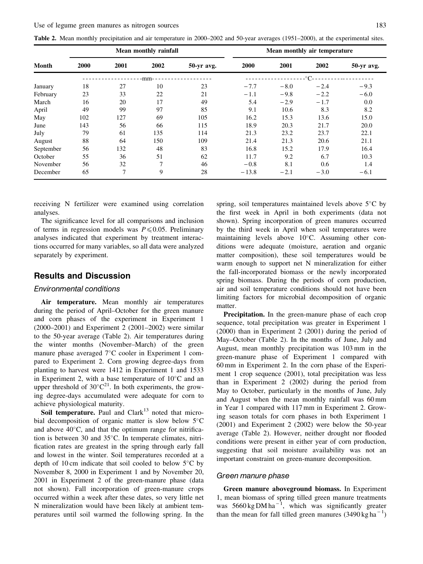|  |  | Table 2. Mean monthly precipitation and air temperature in 2000–2002 and 50-year averages (1951–2000), at the experimental sites. |
|--|--|-----------------------------------------------------------------------------------------------------------------------------------|
|  |  |                                                                                                                                   |

|           |      |      | Mean monthly rainfall |            | Mean monthly air temperature |        |        |            |  |
|-----------|------|------|-----------------------|------------|------------------------------|--------|--------|------------|--|
| Month     | 2000 | 2001 | 2002                  | 50-yr avg. | 2000                         | 2001   | 2002   | 50-yr avg. |  |
|           |      |      | -mm-                  |            |                              |        | -°C-   |            |  |
| January   | 18   | 27   | 10                    | 23         | $-7.7$                       | $-8.0$ | $-2.4$ | $-9.3$     |  |
| February  | 23   | 33   | 22                    | 21         | $-1.1$                       | $-9.8$ | $-2.2$ | $-6.0$     |  |
| March     | 16   | 20   | 17                    | 49         | 5.4                          | $-2.9$ | $-1.7$ | 0.0        |  |
| April     | 49   | 99   | 97                    | 85         | 9.1                          | 10.6   | 8.3    | 8.2        |  |
| May       | 102  | 127  | 69                    | 105        | 16.2                         | 15.3   | 13.6   | 15.0       |  |
| June      | 143  | 56   | 66                    | 115        | 18.9                         | 20.3   | 21.7   | 20.0       |  |
| July      | 79   | 61   | 135                   | 114        | 21.3                         | 23.2   | 23.7   | 22.1       |  |
| August    | 88   | 64   | 150                   | 109        | 21.4                         | 21.3   | 20.6   | 21.1       |  |
| September | 56   | 132  | 48                    | 83         | 16.8                         | 15.2   | 17.9   | 16.4       |  |
| October   | 55   | 36   | 51                    | 62         | 11.7                         | 9.2    | 6.7    | 10.3       |  |
| November  | 56   | 32   | $\mathcal{I}$         | 46         | $-0.8$                       | 8.1    | 0.6    | 1.4        |  |
| December  | 65   | 7    | 9                     | 28         | $-13.8$                      | $-2.1$ | $-3.0$ | $-6.1$     |  |

receiving N fertilizer were examined using correlation analyses.

The significance level for all comparisons and inclusion of terms in regression models was  $P \le 0.05$ . Preliminary analyses indicated that experiment by treatment interactions occurred for many variables, so all data were analyzed separately by experiment.

## Results and Discussion

#### Environmental conditions

Air temperature. Mean monthly air temperatures during the period of April–October for the green manure and corn phases of the experiment in Experiment 1 (2000–2001) and Experiment 2 (2001–2002) were similar to the 50-year average (Table 2). Air temperatures during the winter months (November–March) of the green manure phase averaged  $7^{\circ}$ C cooler in Experiment 1 compared to Experiment 2. Corn growing degree-days from planting to harvest were 1412 in Experiment 1 and 1533 in Experiment 2, with a base temperature of  $10^{\circ}$ C and an upper threshold of  $30^{\circ}C^{21}$ . In both experiments, the growing degree-days accumulated were adequate for corn to achieve physiological maturity.

Soil temperature. Paul and  $Clark<sup>13</sup>$  noted that microbial decomposition of organic matter is slow below  $5^{\circ}$ C and above  $40^{\circ}$ C, and that the optimum range for nitrification is between 30 and  $35^{\circ}$ C. In temperate climates, nitrification rates are greatest in the spring through early fall and lowest in the winter. Soil temperatures recorded at a depth of 10 cm indicate that soil cooled to below  $5^{\circ}$ C by November 8, 2000 in Experiment 1 and by November 20, 2001 in Experiment 2 of the green-manure phase (data not shown). Fall incorporation of green-manure crops occurred within a week after these dates, so very little net N mineralization would have been likely at ambient temperatures until soil warmed the following spring. In the spring, soil temperatures maintained levels above  $5^{\circ}$ C by the first week in April in both experiments (data not shown). Spring incorporation of green manures occurred by the third week in April when soil temperatures were maintaining levels above  $10^{\circ}$ C. Assuming other conditions were adequate (moisture, aeration and organic matter composition), these soil temperatures would be warm enough to support net N mineralization for either the fall-incorporated biomass or the newly incorporated spring biomass. During the periods of corn production, air and soil temperature conditions should not have been limiting factors for microbial decomposition of organic matter.

Precipitation. In the green-manure phase of each crop sequence, total precipitation was greater in Experiment 1 (2000) than in Experiment 2 (2001) during the period of May–October (Table 2). In the months of June, July and August, mean monthly precipitation was 103 mm in the green-manure phase of Experiment 1 compared with 60 mm in Experiment 2. In the corn phase of the Experiment 1 crop sequence (2001), total precipitation was less than in Experiment 2 (2002) during the period from May to October, particularly in the months of June, July and August when the mean monthly rainfall was 60 mm in Year 1 compared with 117 mm in Experiment 2. Growing season totals for corn phases in both Experiment 1 (2001) and Experiment 2 (2002) were below the 50-year average (Table 2). However, neither drought nor flooded conditions were present in either year of corn production, suggesting that soil moisture availability was not an important constraint on green-manure decomposition.

#### Green manure phase

Green manure aboveground biomass. In Experiment 1, mean biomass of spring tilled green manure treatments was  $5660 \text{ kg} \text{DM} \text{ha}^{-1}$ , which was significantly greater than the mean for fall tilled green manures  $(3490 \text{ kg ha}^{-1})$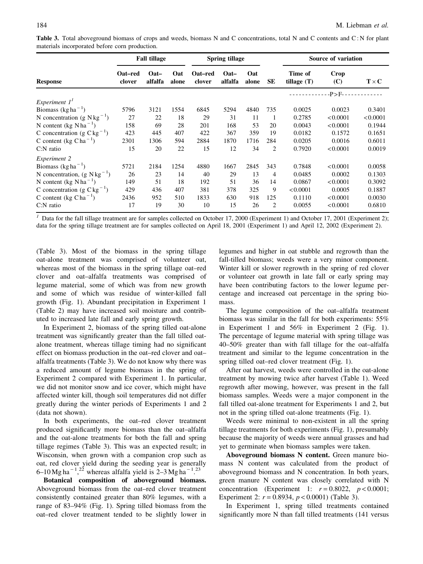|                                          |                   | <b>Fall tillage</b> |              |                   | <b>Spring tillage</b>       |              |                | Source of variation      |             |              |
|------------------------------------------|-------------------|---------------------|--------------|-------------------|-----------------------------|--------------|----------------|--------------------------|-------------|--------------|
| <b>Response</b>                          | Oat–red<br>clover | $Oat -$<br>alfalfa  | Oat<br>alone | Oat-red<br>clover | $\mathbf{O}$ at-<br>alfalfa | Oat<br>alone | SЕ             | Time of<br>tillage $(T)$ | Crop<br>(C) | $T \times C$ |
|                                          |                   |                     |              |                   |                             |              |                |                          | $-P>F-$     |              |
| Experiment $II$                          |                   |                     |              |                   |                             |              |                |                          |             |              |
| Biomass (kg ha <sup>-1</sup> )           | 5796              | 3121                | 1554         | 6845              | 5294                        | 4840         | 735            | 0.0025                   | 0.0023      | 0.3401       |
| N concentration (g $N kg^{-1}$ )         | 27                | 22                  | 18           | 29                | 31                          | 11           | 1              | 0.2785                   | < 0.0001    | < 0.0001     |
| N content (kg $N$ ha <sup>-1</sup> )     | 158               | 69                  | 28           | 201               | 168                         | 53           | 20             | 0.0043                   | < 0.0001    | 0.1944       |
| C concentration (g $C \text{ kg}^{-1}$ ) | 423               | 445                 | 407          | 422               | 367                         | 359          | 19             | 0.0182                   | 0.1572      | 0.1651       |
| C content (kg $Cha^{-1}$ )               | 2301              | 1306                | 594          | 2884              | 1870                        | 1716         | 284            | 0.0205                   | 0.0016      | 0.6011       |
| $C:N$ ratio                              | 15                | 20                  | 22           | 15                | 12                          | 34           | 2              | 0.7920                   | < 0.0001    | 0.0019       |
| Experiment 2                             |                   |                     |              |                   |                             |              |                |                          |             |              |
| Biomass $(kg ha-1)$                      | 5721              | 2184                | 1254         | 4880              | 1667                        | 2845         | 343            | 0.7848                   | < 0.0001    | 0.0058       |
| N concentration, $(g N kg^{-1})$         | 26                | 23                  | 14           | 40                | 29                          | 13           | 4              | 0.0485                   | 0.0002      | 0.1303       |
| N content (kg N ha <sup>-1</sup> )       | 149               | 51                  | 18           | 192               | 51                          | 36           | 14             | 0.0867                   | < 0.0001    | 0.3092       |
| C concentration (g $C \text{ kg}^{-1}$ ) | 429               | 436                 | 407          | 381               | 378                         | 325          | 9              | < 0.0001                 | 0.0005      | 0.1887       |
| C content (kg C ha <sup>-1</sup> )       | 2436              | 952                 | 510          | 1833              | 630                         | 918          | 125            | 0.1110                   | < 0.0001    | 0.0030       |
| $C:N$ ratio                              | 17                | 19                  | 30           | 10                | 15                          | 26           | $\overline{2}$ | 0.0055                   | < 0.0001    | 0.6810       |

Table 3. Total aboveground biomass of crops and weeds, biomass N and C concentrations, total N and C contents and C: N for plant materials incorporated before corn production.

<sup>1</sup> Data for the fall tillage treatment are for samples collected on October 17, 2000 (Experiment 1) and October 17, 2001 (Experiment 2); data for the spring tillage treatment are for samples collected on April 18, 2001 (Experiment 1) and April 12, 2002 (Experiment 2).

(Table 3). Most of the biomass in the spring tillage oat-alone treatment was comprised of volunteer oat, whereas most of the biomass in the spring tillage oat–red clover and oat–alfalfa treatments was comprised of legume material, some of which was from new growth and some of which was residue of winter-killed fall growth (Fig. 1). Abundant precipitation in Experiment 1 (Table 2) may have increased soil moisture and contributed to increased late fall and early spring growth.

In Experiment 2, biomass of the spring tilled oat-alone treatment was significantly greater than the fall tilled oatalone treatment, whereas tillage timing had no significant effect on biomass production in the oat–red clover and oat– alfalfa treatments (Table 3). We do not know why there was a reduced amount of legume biomass in the spring of Experiment 2 compared with Experiment 1. In particular, we did not monitor snow and ice cover, which might have affected winter kill, though soil temperatures did not differ greatly during the winter periods of Experiments 1 and 2 (data not shown).

In both experiments, the oat–red clover treatment produced significantly more biomass than the oat–alfalfa and the oat-alone treatments for both the fall and spring tillage regimes (Table 3). This was an expected result; in Wisconsin, when grown with a companion crop such as oat, red clover yield during the seeding year is generally 6–10 Mg ha<sup>-1</sup>,<sup>22</sup> whereas alfalfa yield is 2–3 Mg ha<sup>-1</sup>,<sup>23</sup>

Botanical composition of aboveground biomass. Aboveground biomass from the oat–red clover treatment consistently contained greater than 80% legumes, with a range of 83–94% (Fig. 1). Spring tilled biomass from the oat–red clover treatment tended to be slightly lower in

legumes and higher in oat stubble and regrowth than the fall-tilled biomass; weeds were a very minor component. Winter kill or slower regrowth in the spring of red clover or volunteer oat growth in late fall or early spring may have been contributing factors to the lower legume percentage and increased oat percentage in the spring biomass.

The legume composition of the oat–alfalfa treatment biomass was similar in the fall for both experiments: 55% in Experiment 1 and 56% in Experiment 2 (Fig. 1). The percentage of legume material with spring tillage was 40–50% greater than with fall tillage for the oat–alfalfa treatment and similar to the legume concentration in the spring tilled oat–red clover treatment (Fig. 1).

After oat harvest, weeds were controlled in the oat-alone treatment by mowing twice after harvest (Table 1). Weed regrowth after mowing, however, was present in the fall biomass samples. Weeds were a major component in the fall tilled oat-alone treatment for Experiments 1 and 2, but not in the spring tilled oat-alone treatments (Fig. 1).

Weeds were minimal to non-existent in all the spring tillage treatments for both experiments (Fig. 1), presumably because the majority of weeds were annual grasses and had yet to germinate when biomass samples were taken.

Aboveground biomass N content. Green manure biomass N content was calculated from the product of aboveground biomass and N concentration. In both years, green manure N content was closely correlated with N concentration (Experiment 1:  $r = 0.8022$ ,  $p < 0.0001$ ; Experiment 2:  $r = 0.8934$ ,  $p < 0.0001$ ) (Table 3).

In Experiment 1, spring tilled treatments contained significantly more N than fall tilled treatments (141 versus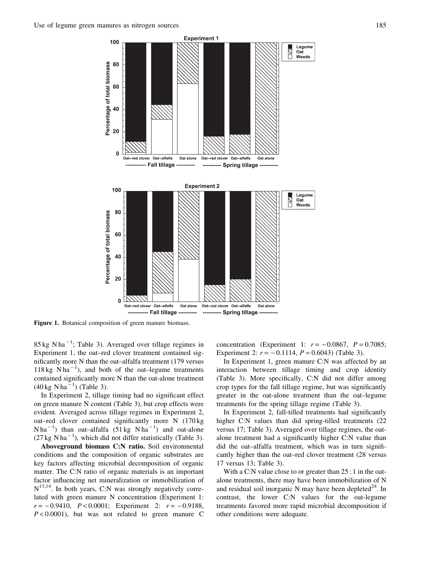

Figure 1. Botanical composition of green manure biomass.

 $85 \text{ kg N} \text{ha}^{-1}$ ; Table 3). Averaged over tillage regimes in Experiment 1, the oat–red clover treatment contained significantly more N than the oat–alfalfa treatment (179 versus  $118 \text{ kg}$  N ha<sup>-1</sup>), and both of the oat-legume treatments contained significantly more N than the oat-alone treatment  $(40 \text{ kg N} \text{ ha}^{-1})$  (Table 3).

In Experiment 2, tillage timing had no significant effect on green manure N content (Table 3), but crop effects were evident. Averaged across tillage regimes in Experiment 2, oat–red clover contained significantly more N (170 kg  $N$ ha<sup>-1</sup>) than oat-alfalfa (51 kg N ha<sup>-1</sup>) and oat-alone  $(27 \text{ kg N} \text{ha}^{-1})$ , which did not differ statistically (Table 3).

Aboveground biomass C:N ratio. Soil environmental conditions and the composition of organic substrates are key factors affecting microbial decomposition of organic matter. The C:N ratio of organic materials is an important factor influencing net mineralization or immobilization of  $N^{13,14}$ . In both years, C:N was strongly negatively correlated with green manure N concentration (Experiment 1:  $r = -0.9410$ ,  $P < 0.0001$ ; Experiment 2:  $r = -0.9188$ ,  $P < 0.0001$ , but was not related to green manure C concentration (Experiment 1:  $r = -0.0867$ ,  $P = 0.7085$ ; Experiment 2:  $r = -0.1114$ ,  $P = 0.6043$  (Table 3).

In Experiment 1, green manure C:N was affected by an interaction between tillage timing and crop identity (Table 3). More specifically, C:N did not differ among crop types for the fall tillage regime, but was significantly greater in the oat-alone treatment than the oat–legume treatments for the spring tillage regime (Table 3).

In Experiment 2, fall-tilled treatments had significantly higher C:N values than did spring-tilled treatments (22 versus 17; Table 3). Averaged over tillage regimes, the oatalone treatment had a significantly higher C:N value than did the oat–alfalfa treatment, which was in turn significantly higher than the oat–red clover treatment (28 versus 17 versus 13; Table 3).

With a C:N value close to or greater than  $25:1$  in the oatalone treatments, there may have been immobilization of N and residual soil inorganic N may have been depleted<sup>24</sup>. In contrast, the lower C:N values for the oat-legume treatments favored more rapid microbial decomposition if other conditions were adequate.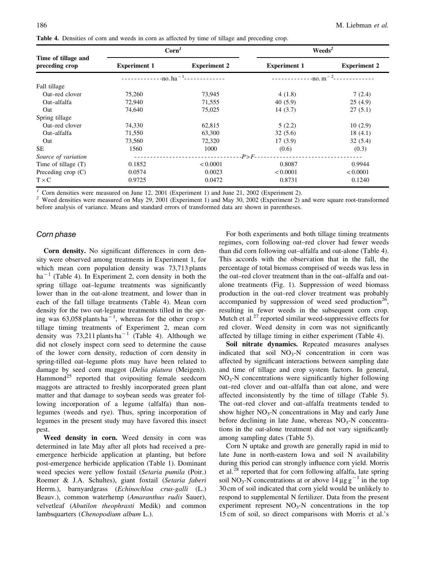|                                       | $\text{Corn}^1$     |                             | Weeds <sup>2</sup>                     |                     |  |  |  |
|---------------------------------------|---------------------|-----------------------------|----------------------------------------|---------------------|--|--|--|
| Time of tillage and<br>preceding crop | <b>Experiment 1</b> | <b>Experiment 2</b>         | <b>Experiment 1</b>                    | <b>Experiment 2</b> |  |  |  |
|                                       |                     | $\cdot$ -no. ha $^{-1}$ - - | $-$ no. m <sup><math>-2</math></sup> - |                     |  |  |  |
| Fall tillage                          |                     |                             |                                        |                     |  |  |  |
| Oat–red clover                        | 75,260              | 73,945                      | 4(1.8)                                 | 7(2.4)              |  |  |  |
| Oat-alfalfa                           | 72,940              | 71,555                      | 40(5.9)                                | 25(4.9)             |  |  |  |
| Oat                                   | 74,640              | 75,025                      | 14(3.7)                                | 27(5.1)             |  |  |  |
| Spring tillage                        |                     |                             |                                        |                     |  |  |  |
| Oat–red clover                        | 74,330              | 62,815                      | 5(2.2)                                 | 10(2.9)             |  |  |  |
| Oat-alfalfa                           | 71,550              | 63,300                      | 32(5.6)                                | 18(4.1)             |  |  |  |
| Oat                                   | 73,560              | 72,320                      | 17(3.9)                                | 32(5.4)             |  |  |  |
| <b>SE</b>                             | 1560                | 1000                        | (0.6)                                  | (0.3)               |  |  |  |
| Source of variation                   |                     |                             | $-P>F-$                                |                     |  |  |  |
| Time of tillage $(T)$                 | 0.1852              | < 0.0001                    | 0.8087                                 | 0.9944              |  |  |  |
| Preceding crop $(C)$                  | 0.0574              | 0.0023                      | < 0.0001                               | < 0.0001            |  |  |  |
| $T \times C$                          | 0.9725              | 0.0472                      | 0.8731                                 | 0.1240              |  |  |  |

Table 4. Densities of corn and weeds in corn as affected by time of tillage and preceding crop.

Corn densities were measured on June 12, 2001 (Experiment 1) and June 21, 2002 (Experiment 2).<br>Weed densities were measured on May 29, 2001 (Experiment 1) and May 30, 2002 (Experiment 2) and were square root-transformed before analysis of variance. Means and standard errors of transformed data are shown in parentheses.

#### Corn phase

Corn density. No significant differences in corn density were observed among treatments in Experiment 1, for which mean corn population density was 73,713 plants  $ha^{-1}$  (Table 4). In Experiment 2, corn density in both the spring tillage oat–legume treatments was significantly lower than in the oat-alone treatment, and lower than in each of the fall tillage treatments (Table 4). Mean corn density for the two oat-legume treatments tilled in the spring was 63,058 plants ha<sup>-1</sup>, whereas for the other crop  $\times$ tillage timing treatments of Experiment 2, mean corn density was  $73,211$  plants ha<sup>-1</sup> (Table 4). Although we did not closely inspect corn seed to determine the cause of the lower corn density, reduction of corn density in spring-tilled oat–legume plots may have been related to damage by seed corn maggot (Delia platura (Meigen)). Hammond<sup>25</sup> reported that ovipositing female seedcorn maggots are attracted to freshly incorporated green plant matter and that damage to soybean seeds was greater following incorporation of a legume (alfalfa) than nonlegumes (weeds and rye). Thus, spring incorporation of legumes in the present study may have favored this insect pest.

Weed density in corn. Weed density in corn was determined in late May after all plots had received a preemergence herbicide application at planting, but before post-emergence herbicide application (Table 1). Dominant weed species were yellow foxtail (Setaria pumila (Poir.) Roemer & J.A. Schultes), giant foxtail (Setaria faberi Herrm.), barnyardgrass (Echinochloa crus-galli (L.) Beauv.), common waterhemp (Amaranthus rudis Sauer), velvetleaf (Abutilon theophrasti Medik) and common lambsquarters (Chenopodium album L.).

For both experiments and both tillage timing treatments regimes, corn following oat–red clover had fewer weeds than did corn following oat–alfalfa and oat-alone (Table 4). This accords with the observation that in the fall, the percentage of total biomass comprised of weeds was less in the oat–red clover treatment than in the oat–alfalfa and oatalone treatments (Fig. 1). Suppression of weed biomass production in the oat–red clover treatment was probably accompanied by suppression of weed seed production<sup>26</sup>, resulting in fewer weeds in the subsequent corn crop. Mutch et al. $^{27}$  reported similar weed-suppressive effects for red clover. Weed density in corn was not significantly affected by tillage timing in either experiment (Table 4).

Soil nitrate dynamics. Repeated measures analyses indicated that soil  $NO<sub>3</sub>-N$  concentration in corn was affected by significant interactions between sampling date and time of tillage and crop system factors. In general,  $NO<sub>3</sub>-N$  concentrations were significantly higher following oat–red clover and oat–alfalfa than oat alone, and were affected inconsistently by the time of tillage (Table 5). The oat–red clover and oat–alfalfa treatments tended to show higher  $NO_3$ -N concentrations in May and early June before declining in late June, whereas  $NO<sub>3</sub>-N$  concentrations in the oat-alone treatment did not vary significantly among sampling dates (Table 5).

Corn N uptake and growth are generally rapid in mid to late June in north-eastern Iowa and soil N availability during this period can strongly influence corn yield. Morris et al. $^{28}$  reported that for corn following alfalfa, late spring soil NO<sub>3</sub>-N concentrations at or above  $14 \mu$ g g<sup>-1</sup> in the top 30 cm of soil indicated that corn yield would be unlikely to respond to supplemental N fertilizer. Data from the present experiment represent  $NO<sub>3</sub>-N$  concentrations in the top 15 cm of soil, so direct comparisons with Morris et al.'s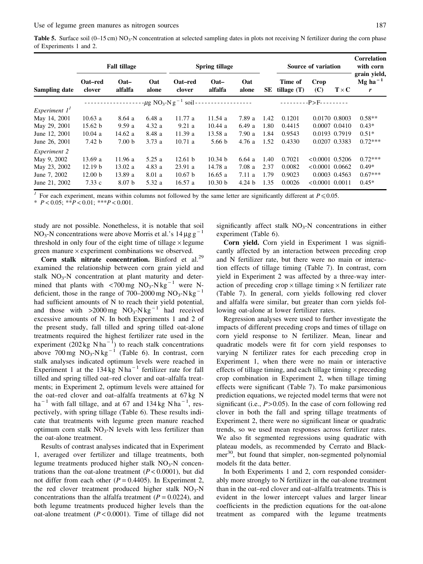|                 | <b>Fall tillage</b> |                           |              |                                                   | <b>Spring tillage</b> |                                 |      | Source of variation      |                   |              | Correlation<br>with corn                 |
|-----------------|---------------------|---------------------------|--------------|---------------------------------------------------|-----------------------|---------------------------------|------|--------------------------|-------------------|--------------|------------------------------------------|
| Sampling date   | Oat–red<br>clover   | $\mathbf{O}at$<br>alfalfa | Oat<br>alone | Oat–red<br>clover                                 | $Oat -$<br>alfalfa    | Oat<br>alone                    | SE   | Time of<br>tillage $(T)$ | Crop<br>(C)       | $T \times C$ | grain yield,<br>Mg ha <sup>-1</sup><br>r |
|                 |                     |                           |              | $-\mu$ g NO <sub>3</sub> -N g <sup>-1</sup> soil- |                       | <u> - - - - - - - - - - - -</u> |      |                          | $-P > F -$        |              |                                          |
| Experiment $1T$ |                     |                           |              |                                                   |                       |                                 |      |                          |                   |              |                                          |
| May 14, 2001    | 10.63a              | 8.64a                     | 6.48a        | 11.77a                                            | 11.54a                | 7.89 a                          | 1.42 | 0.1201                   | 0.0170 0.8003     |              | $0.58**$                                 |
| May 29, 2001    | 15.62 b             | 9.59a                     | 4.32a        | 9.21a                                             | 10.44 a               | 6.49a                           | 1.80 | 0.4415                   | $0.0007$ $0.0410$ |              | $0.43*$                                  |
| June 12, 2001   | 10.04a              | 14.62a                    | 8.48 a       | 11.39a                                            | 13.58a                | 7.90a                           | 1.84 | 0.9543                   | 0.0193 0.7919     |              | $0.51*$                                  |
| June 26, 2001   | 7.42 <sub>b</sub>   | 7.00 <sub>b</sub>         | 3.73a        | 10.71a                                            | 5.66 <sub>b</sub>     | 4.76 a                          | 1.52 | 0.4330                   | 0.0207 0.3383     |              | $0.72***$                                |
| Experiment 2    |                     |                           |              |                                                   |                       |                                 |      |                          |                   |              |                                          |
| May 9, 2002     | 13.69a              | 11.96 a                   | 5.25a        | 12.61 h                                           | 10.34 h               | 6.64a                           | 1.40 | 0.7021                   | $< 0.0001$ 0.5206 |              | $0.72***$                                |
| May 23, 2002    | 12.19 b             | 13.02 a                   | 4.83a        | 23.91a                                            | 14.78a                | 7.08a                           | 2.37 | 0.0082                   | $< 0.0001$ 0.0662 |              | $0.49*$                                  |
| June 7, 2002    | 12.00 <sub>b</sub>  | 13.89a                    | 8.01 a       | 10.67 h                                           | 16.65a                | 7.11a                           | 1.79 | 0.9023                   | 0.0003 0.4563     |              | $0.67***$                                |
| June 21, 2002   | 7.33c               | 8.07 <sub>b</sub>         | 5.32 a       | 16.57a                                            | 10.30 <sub>b</sub>    | 4.24 <sub>b</sub>               | 1.35 | 0.0026                   | $< 0.0001$ 0.0011 |              | $0.45*$                                  |

<sup>1</sup> For each experiment, means within columns not followed by the same letter are significantly different at  $P \le 0.05$ .

\*  $P < 0.05$ ; \*\* $P < 0.01$ ; \*\*\* $P < 0.001$ .

study are not possible. Nonetheless, it is notable that soil NO<sub>3</sub>-N concentrations were above Morris et al.'s 14  $\mu$ g g<sup>-1</sup> threshold in only four of the eight time of tillage  $\times$  legume green manure  $\times$  experiment combinations we observed.

Corn stalk nitrate concentration. Binford et al.<sup>29</sup> examined the relationship between corn grain yield and stalk  $NO<sub>3</sub>-N$  concentration at plant maturity and determined that plants with  $\langle 700 \text{ mg } \text{NO}_3\text{-N kg}^{-1}$  were Ndeficient, those in the range of 700–2000 mg  $NO_3-N kg^{-1}$ had sufficient amounts of N to reach their yield potential, and those with  $>2000$  mg NO<sub>3</sub>-N kg<sup>-1</sup> had received excessive amounts of N. In both Experiments 1 and 2 of the present study, fall tilled and spring tilled oat-alone treatments required the highest fertilizer rate used in the experiment  $(202 \text{ kg N} \text{ha}^{-1})$  to reach stalk concentrations above 700 mg  $NO_3$ -N kg<sup>-1</sup> (Table 6). In contrast, corn stalk analyses indicated optimum levels were reached in Experiment 1 at the  $134 \text{ kg}$  N ha<sup>-1</sup> fertilizer rate for fall tilled and spring tilled oat–red clover and oat–alfalfa treatments; in Experiment 2, optimum levels were attained for the oat–red clover and oat–alfalfa treatments at 67 kg N ha<sup>-1</sup> with fall tillage, and at 67 and  $134 \text{ kg N}$  ha<sup>-1</sup>, respectively, with spring tillage (Table 6). These results indicate that treatments with legume green manure reached optimum corn stalk  $NO<sub>3</sub>-N$  levels with less fertilizer than the oat-alone treatment.

Results of contrast analyses indicated that in Experiment 1, averaged over fertilizer and tillage treatments, both legume treatments produced higher stalk  $NO<sub>3</sub>-N$  concentrations than the oat-alone treatment  $(P < 0.0001)$ , but did not differ from each other ( $P = 0.4405$ ). In Experiment 2, the red clover treatment produced higher stalk  $NO<sub>3</sub>-N$ concentrations than the alfalfa treatment  $(P = 0.0224)$ , and both legume treatments produced higher levels than the oat-alone treatment ( $P < 0.0001$ ). Time of tillage did not significantly affect stalk  $NO<sub>3</sub>-N$  concentrations in either experiment (Table 6).

Corn yield. Corn yield in Experiment 1 was significantly affected by an interaction between preceding crop and N fertilizer rate, but there were no main or interaction effects of tillage timing (Table 7). In contrast, corn yield in Experiment 2 was affected by a three-way interaction of preceding crop  $\times$  tillage timing  $\times$  N fertilizer rate (Table 7). In general, corn yields following red clover and alfalfa were similar, but greater than corn yields following oat-alone at lower fertilizer rates.

Regression analyses were used to further investigate the impacts of different preceding crops and times of tillage on corn yield response to N fertilizer. Mean, linear and quadratic models were fit for corn yield responses to varying N fertilizer rates for each preceding crop in Experiment 1, when there were no main or interactive effects of tillage timing, and each tillage timing  $\times$  preceding crop combination in Experiment 2, when tillage timing effects were significant (Table 7). To make parsimonious prediction equations, we rejected model terms that were not significant (i.e.,  $P > 0.05$ ). In the case of corn following red clover in both the fall and spring tillage treatments of Experiment 2, there were no significant linear or quadratic trends, so we used mean responses across fertilizer rates. We also fit segmented regressions using quadratic with plateau models, as recommended by Cerrato and Blackmer<sup>30</sup>, but found that simpler, non-segmented polynomial models fit the data better.

In both Experiments 1 and 2, corn responded considerably more strongly to N fertilizer in the oat-alone treatment than in the oat–red clover and oat–alfalfa treatments. This is evident in the lower intercept values and larger linear coefficients in the prediction equations for the oat-alone treatment as compared with the legume treatments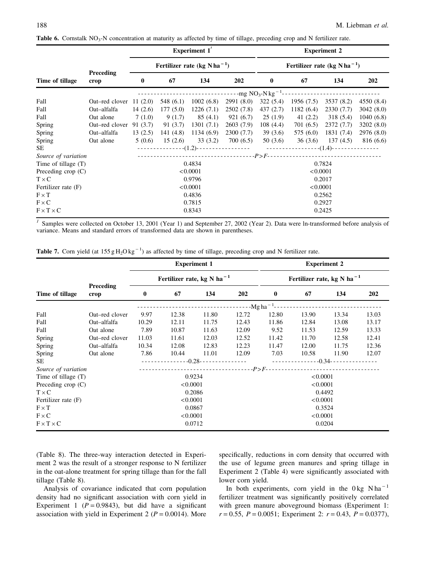|                       |                          |                  |                   | <b>Experiment 1</b>                      |            | <b>Experiment 2</b>                      |                     |            |                     |
|-----------------------|--------------------------|------------------|-------------------|------------------------------------------|------------|------------------------------------------|---------------------|------------|---------------------|
|                       |                          |                  |                   | Fertilizer rate (kg N ha <sup>-1</sup> ) |            | Fertilizer rate (kg N ha <sup>-1</sup> ) |                     |            |                     |
| Time of tillage       | Preceding<br>crop        | $\mathbf{0}$     | 67                | 134                                      | 202        | $\bf{0}$                                 | 67                  | 134        | 202                 |
|                       |                          |                  |                   |                                          |            |                                          |                     |            |                     |
| Fall                  | Oat-red clover $11(2.0)$ |                  | 548 (6.1)         | 1002(6.8)                                | 2991(8.0)  | 322(5.4)                                 | 1956(7.5)           | 3537 (8.2) | 4550 (8.4)          |
| Fall                  | Oat-alfalfa              | 14(2.6)          | 177(5.0)          | 1226(7.1)                                | 2502(7.8)  | 437(2.7)                                 | 1182(6.4)           | 2330(7.7)  | 3042(8.0)           |
| Fall                  | Oat alone                | 7(1.0)           | 9(1.7)            | 85(4.1)                                  | 921(6.7)   | 25(1.9)                                  | 41 $(2.2)$          | 318(5.4)   | 1040(6.8)           |
| Spring                | Oat–red clover           | 91 (3.7)         | 91 (3.7)          | 1301(7.1)                                | 2603(7.9)  | 108(4.4)                                 | 701 (6.5)           | 2372(7.7)  | 3202(8.0)           |
| Spring                | Oat-alfalfa              | 13(2.5)          | 141(4.8)          | 1134(6.9)                                | 2300 (7.7) | 39(3.6)                                  | 575 (6.0)           | 1831 (7.4) | 2976 (8.0)          |
| Spring                | Oat alone                |                  | $5(0.6)$ 15 (2.6) | 33 (3.2)                                 | 700 (6.5)  |                                          | $50(3.6)$ $36(3.6)$ |            | $137(4.5)$ 816(6.6) |
| <b>SE</b>             |                          |                  |                   |                                          |            |                                          |                     |            |                     |
| Source of variation   |                          |                  |                   |                                          |            |                                          |                     |            |                     |
| Time of tillage $(T)$ |                          |                  |                   | 0.4834                                   |            |                                          |                     | 0.7824     |                     |
| Preceding crop $(C)$  |                          |                  |                   | < 0.0001                                 |            |                                          | < 0.0001            |            |                     |
| $T \times C$          |                          |                  |                   | 0.9796                                   |            |                                          |                     | 0.2017     |                     |
| Fertilizer rate (F)   |                          |                  |                   | < 0.0001                                 |            |                                          | < 0.0001            |            |                     |
| $F \times T$          |                          | 0.4836<br>0.2562 |                   |                                          |            |                                          |                     |            |                     |
| $F \times C$          |                          |                  |                   | 0.7815                                   |            |                                          |                     | 0.2927     |                     |
| $F \times T \times C$ |                          |                  |                   | 0.8343                                   |            |                                          |                     | 0.2425     |                     |

**Table 6.** Cornstalk  $NO_3$ -N concentration at maturity as affected by time of tillage, preceding crop and N fertilizer rate.

<sup>1</sup> Samples were collected on October 13, 2001 (Year 1) and September 27, 2002 (Year 2). Data were ln-transformed before analysis of variance. Means and standard errors of transformed data are shown in parentheses.

|                             |                   | <b>Experiment 1</b>  |                                        |       |       |                         | <b>Experiment 2</b>                    |       |       |  |
|-----------------------------|-------------------|----------------------|----------------------------------------|-------|-------|-------------------------|----------------------------------------|-------|-------|--|
|                             |                   |                      | Fertilizer rate, kg N ha <sup>-1</sup> |       |       |                         | Fertilizer rate, kg N ha <sup>-1</sup> |       |       |  |
| Time of tillage             | Preceding<br>crop | $\bf{0}$             | 67                                     | 134   | 202   | $\bf{0}$                | 67                                     | 134   | 202   |  |
|                             |                   |                      |                                        |       |       | --Mg ha <sup>-1</sup> - |                                        |       |       |  |
| Fall                        | Oat–red clover    | 9.97                 | 12.38                                  | 11.80 | 12.72 | 12.80                   | 13.90                                  | 13.34 | 13.03 |  |
| Fall                        | Oat-alfalfa       | 10.29                | 12.11                                  | 11.75 | 12.43 | 11.86                   | 12.84                                  | 13.08 | 13.17 |  |
| Fall                        | Oat alone         | 7.89                 | 10.87                                  | 11.63 | 12.09 | 9.52                    | 11.53                                  | 12.59 | 13.33 |  |
| Spring                      | Oat–red clover    | 11.03                | 11.61                                  | 12.03 | 12.52 | 11.42                   | 11.70                                  | 12.58 | 12.41 |  |
| Spring                      | Oat-alfalfa       | 10.34                | 12.08                                  | 12.83 | 12.23 | 11.47                   | 12.00                                  | 11.75 | 12.36 |  |
| Spring                      | Oat alone         | 7.86                 | 10.44                                  | 11.01 | 12.09 | 7.03                    | 10.58                                  | 11.90 | 12.07 |  |
| <b>SE</b>                   |                   |                      |                                        |       |       |                         |                                        |       |       |  |
| Source of variation         |                   |                      |                                        |       |       |                         |                                        |       |       |  |
| Time of tillage $(T)$       |                   |                      | 0.9234                                 |       |       |                         | < 0.0001                               |       |       |  |
| Preceding $\text{crop}$ (C) |                   |                      | < 0.0001                               |       |       |                         | < 0.0001                               |       |       |  |
| $T \times C$                |                   |                      | 0.2086                                 |       |       |                         | 0.4492                                 |       |       |  |
| Fertilizer rate (F)         |                   | < 0.0001             |                                        |       |       |                         | < 0.0001                               |       |       |  |
| $F \times T$                |                   | 0.0867               |                                        |       |       |                         | 0.3524                                 |       |       |  |
| $F \times C$                |                   | < 0.0001<br>< 0.0001 |                                        |       |       |                         |                                        |       |       |  |
| $F \times T \times C$       |                   |                      | 0.0712                                 |       |       |                         | 0.0204                                 |       |       |  |

(Table 8). The three-way interaction detected in Experiment 2 was the result of a stronger response to N fertilizer in the oat-alone treatment for spring tillage than for the fall tillage (Table 8).

Analysis of covariance indicated that corn population density had no significant association with corn yield in Experiment 1 ( $P = 0.9843$ ), but did have a significant association with yield in Experiment 2 ( $P = 0.0014$ ). More specifically, reductions in corn density that occurred with the use of legume green manures and spring tillage in Experiment 2 (Table 4) were significantly associated with lower corn yield.

In both experiments, corn yield in the  $0 \text{ kg N} \text{h} \text{a}^{-1}$ fertilizer treatment was significantly positively correlated with green manure aboveground biomass (Experiment 1:  $r = 0.55$ ,  $P = 0.0051$ ; Experiment 2:  $r = 0.43$ ,  $P = 0.0377$ ),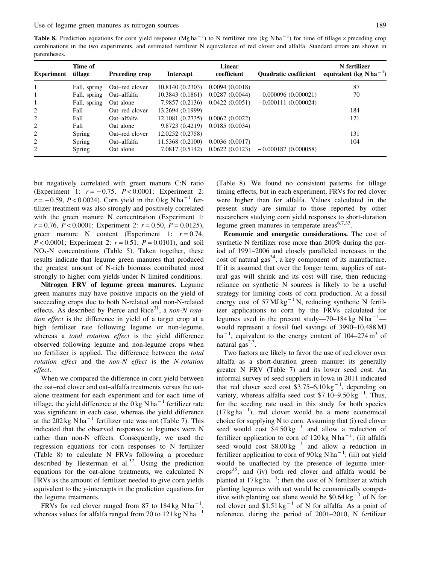**Table 8.** Prediction equations for corn yield response (Mg ha<sup>-1</sup>) to N fertilizer rate (kg N ha<sup>-1</sup>) for time of tillage  $\times$  preceding crop combinations in the two experiments, and estimated fertilizer N equivalence of red clover and alfalfa. Standard errors are shown in parentheses.

| <b>Experiment</b> | Time of<br>tillage | Preceding crop | Intercept        | Linear<br>coefficient | <b>Ouadratic coefficient</b> | N fertilizer<br>equivalent (kg N ha <sup>-1</sup> ) |
|-------------------|--------------------|----------------|------------------|-----------------------|------------------------------|-----------------------------------------------------|
|                   | Fall, spring       | Oat–red clover | 10.8140(0.2303)  | 0.0094(0.0018)        |                              | 87                                                  |
|                   | Fall, spring       | Oat-alfalfa    | 10.3843(0.1861)  | 0.0287(0.0044)        | $-0.000096(0.000021)$        | 70                                                  |
|                   | Fall, spring       | Oat alone      | 7.9857 (0.2136)  | 0.0422(0.0051)        | $-0.000111(0.000024)$        |                                                     |
| 2                 | Fall               | Oat–red clover | 13.2694 (0.1999) |                       |                              | 184                                                 |
| 2                 | Fall               | Oat-alfalfa    | 12.1081 (0.2735) | 0.0062(0.0022)        |                              | 121                                                 |
| 2                 | Fall               | Oat alone      | 9.8723 (0.4219)  | 0.0185(0.0034)        |                              |                                                     |
| 2                 | Spring             | Oat–red clover | 12.0252 (0.2758) |                       |                              | 131                                                 |
| 2                 | Spring             | Oat-alfalfa    | 11.5368 (0.2100) | 0.0036(0.0017)        |                              | 104                                                 |
| 2                 | Spring             | Oat alone      | 7.0817 (0.5142)  | 0.0622(0.0123)        | $-0.000187(0.000058)$        |                                                     |

but negatively correlated with green manure C:N ratio (Experiment 1:  $r = -0.75$ ,  $P < 0.0001$ ; Experiment 2:  $r = -0.59$ ,  $P < 0.0024$ ). Corn yield in the 0 kg N ha<sup>-1</sup> fertilizer treatment was also strongly and positively correlated with the green manure N concentration (Experiment 1:  $r = 0.76$ ,  $P < 0.0001$ ; Experiment 2:  $r = 0.50$ ,  $P = 0.0125$ ), green manure N content (Experiment 1:  $r = 0.74$ ,  $P < 0.0001$ ; Experiment 2:  $r = 0.51$ ,  $P = 0.0101$ ), and soil  $NO<sub>3</sub>-N$  concentrations (Table 5). Taken together, these results indicate that legume green manures that produced the greatest amount of N-rich biomass contributed most strongly to higher corn yields under N limited conditions.

Nitrogen FRV of legume green manures. Legume green manures may have positive impacts on the yield of succeeding crops due to both N-related and non-N-related effects. As described by Pierce and Rice<sup>31</sup>, a non-N rotation effect is the difference in yield of a target crop at a high fertilizer rate following legume or non-legume, whereas a total rotation effect is the yield difference observed following legume and non-legume crops when no fertilizer is applied. The difference between the total rotation effect and the non-N effect is the N-rotation effect.

When we compared the difference in corn yield between the oat–red clover and oat–alfalfa treatments versus the oatalone treatment for each experiment and for each time of tillage, the yield difference at the  $0 \text{ kg N} \text{ ha}^{-1}$  fertilizer rate was significant in each case, whereas the yield difference at the  $202 \text{ kg N} \text{ ha}^{-1}$  fertilizer rate was not (Table 7). This indicated that the observed responses to legumes were N rather than non-N effects. Consequently, we used the regression equations for corn responses to N fertilizer (Table 8) to calculate N FRVs following a procedure described by Hesterman et al. $32$ . Using the prediction equations for the oat-alone treatments, we calculated N FRVs as the amount of fertilizer needed to give corn yields equivalent to the y-intercepts in the prediction equations for the legume treatments.

FRVs for red clover ranged from 87 to  $184 \text{ kg N} \text{h} \text{a}^{-1}$ , whereas values for alfalfa ranged from 70 to 121 kg N ha<sup> $-1$ </sup> (Table 8). We found no consistent patterns for tillage timing effects, but in each experiment, FRVs for red clover were higher than for alfalfa. Values calculated in the present study are similar to those reported by other researchers studying corn yield responses to short-duration legume green manures in temperate  $\arccos^{6,7,33}$ .

Economic and energetic considerations. The cost of synthetic N fertilizer rose more than 200% during the period of 1991–2006 and closely paralleled increases in the cost of natural gas<sup>34</sup>, a key component of its manufacture. If it is assumed that over the longer term, supplies of natural gas will shrink and its cost will rise, then reducing reliance on synthetic N sources is likely to be a useful strategy for limiting costs of corn production. At a fossil energy cost of  $57 \text{ MJ kg}^{-1}$  N, reducing synthetic N fertilizer applications to corn by the FRVs calculated for legumes used in the present study—70-184 kg N ha<sup>-1</sup>would represent a fossil fuel savings of 3990–10,488 MJ ha<sup>-1</sup>, equivalent to the energy content of  $104-274 \text{ m}^3$  of natural gas $^{2,3}$ .

Two factors are likely to favor the use of red clover over alfalfa as a short-duration green manure: its generally greater N FRV (Table 7) and its lower seed cost. An informal survey of seed suppliers in Iowa in 2011 indicated that red clover seed cost  $$3.75-6.10 \text{ kg}^{-1}$ , depending on variety, whereas alfalfa seed cost  $$7.10-9.50 \text{ kg}^{-1}$ . Thus, for the seeding rate used in this study for both species  $(17 \text{ kg ha}^{-1})$ , red clover would be a more economical choice for supplying N to corn. Assuming that (i) red clover seed would cost  $$4.50 \text{ kg}^{-1}$$  and allow a reduction of fertilizer application to corn of  $120 \text{ kg N} \text{ ha}^{-1}$ ; (ii) alfalfa seed would cost  $$8.00 \text{ kg}^{-1}$$  and allow a reduction in fertilizer application to corn of  $90 \text{ kg N} \text{ ha}^{-1}$ ; (iii) oat yield would be unaffected by the presence of legume intercrops $^{35}$ ; and (iv) both red clover and alfalfa would be planted at  $17 \text{ kg ha}^{-1}$ ; then the cost of N fertilizer at which planting legumes with oat would be economically competitive with planting oat alone would be  $$0.64 \text{ kg}^{-1}$  of N for red clover and  $$1.51 \text{ kg}^{-1}$  of N for alfalfa. As a point of reference, during the period of 2001–2010, N fertilizer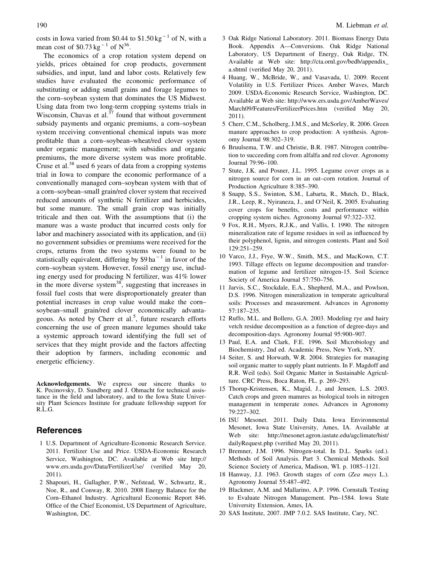costs in Iowa varied from \$0.44 to  $$1.50 \text{kg}^{-1}$  of N, with a mean cost of  $$0.73 \text{ kg}^{-1}$  of  $N^{36}$ .

The economics of a crop rotation system depend on yields, prices obtained for crop products, government subsidies, and input, land and labor costs. Relatively few studies have evaluated the economic performance of substituting or adding small grains and forage legumes to the corn–soybean system that dominates the US Midwest. Using data from two long-term cropping systems trials in Wisconsin, Chavas et al.<sup>37</sup> found that without government subsidy payments and organic premiums, a corn–soybean system receiving conventional chemical inputs was more profitable than a corn–soybean–wheat/red clover system under organic management; with subsidies and organic premiums, the more diverse system was more profitable. Cruse et al. $38$  used 6 years of data from a cropping systems trial in Iowa to compare the economic performance of a conventionally managed corn–soybean system with that of a corn–soybean–small grain/red clover system that received reduced amounts of synthetic N fertilizer and herbicides, but some manure. The small grain crop was initially triticale and then oat. With the assumptions that (i) the manure was a waste product that incurred costs only for labor and machinery associated with its application, and (ii) no government subsidies or premiums were received for the crops, returns from the two systems were found to be statistically equivalent, differing by  $$9$  ha<sup>-1</sup> in favor of the corn–soybean system. However, fossil energy use, including energy used for producing N fertilizer, was 41% lower in the more diverse system<sup>38</sup>, suggesting that increases in fossil fuel costs that were disproportionately greater than potential increases in crop value would make the corn– soybean–small grain/red clover economically advantageous. As noted by Cherr et al.<sup>5</sup>, future research efforts concerning the use of green manure legumes should take a systemic approach toward identifying the full set of services that they might provide and the factors affecting their adoption by farmers, including economic and energetic efficiency.

Acknowledgements. We express our sincere thanks to K. Pecinovsky, D. Sundberg and J. Ohmacht for technical assistance in the field and laboratory, and to the Iowa State University Plant Sciences Institute for graduate fellowship support for R.L.G.

## **References**

- 1 U.S. Department of Agriculture-Economic Research Service. 2011. Fertilizer Use and Price. USDA-Economic Research Service, Washington, DC. Available at Web site http:// www.ers.usda.gov/Data/FertilizerUse/ (verified May 20, 2011).
- 2 Shapouri, H., Gallagher, P.W., Nefstead, W., Schwartz, R., Noe, R., and Conway, R. 2010. 2008 Energy Balance for the Corn–Ethanol Industry. Agricultural Economic Report 846. Office of the Chief Economist, US Department of Agriculture, Washington, DC.
- 3 Oak Ridge National Laboratory. 2011. Biomass Energy Data Book. Appendix A—Conversions. Oak Ridge National Laboratory, US Department of Energy, Oak Ridge, TN. Available at Web site: http://cta.ornl.gov/bedb/appendix\_ a.shtml (verified May 20, 2011).
- 4 Huang, W., McBride, W., and Vasavada, U. 2009. Recent Volatility in U.S. Fertilizer Prices. Amber Waves, March 2009. USDA-Economic Research Service, Washington, DC. Available at Web site: http://www.ers.usda.gov/AmberWaves/ March09/Features/FertilizerPrices.htm (verified May 20, 2011).
- 5 Cherr, C.M., Scholberg, J.M.S., and McSorley, R. 2006. Green manure approaches to crop production: A synthesis. Agronomy Journal 98:302–319.
- 6 Bruulsema, T.W. and Christie, B.R. 1987. Nitrogen contribution to succeeding corn from alfalfa and red clover. Agronomy Journal 79:96–100.
- 7 Stute, J.K. and Posner, J.L. 1995. Legume cover crops as a nitrogen source for corn in an oat–corn rotation. Journal of Production Agriculture 8:385–390.
- 8 Snapp, S.S., Swinton, S.M., Labarta, R., Mutch, D., Black, J.R., Leep, R., Nyiraneza, J., and O'Neil, K. 2005. Evaluating cover crops for benefits, costs and performance within cropping system niches. Agronomy Journal 97:322–332.
- 9 Fox, R.H., Myers, R.J.K., and Vallis, I. 1990. The nitrogen mineralization rate of legume residues in soil as influenced by their polyphenol, lignin, and nitrogen contents. Plant and Soil 129:251–259.
- 10 Varco, J.J., Frye, W.W., Smith, M.S., and MacKown, C.T. 1993. Tillage effects on legume decomposition and transformation of legume and fertilizer nitrogen-15. Soil Science Society of America Journal 57:750–756.
- 11 Jarvis, S.C., Stockdale, E.A., Shepherd, M.A., and Powlson, D.S. 1996. Nitrogen mineralization in temperate agricultural soils: Processes and measurement. Advances in Agronomy 57:187–235.
- 12 Ruffo, M.L. and Bollero, G.A. 2003. Modeling rye and hairy vetch residue decomposition as a function of degree-days and decomposition-days. Agronomy Journal 95:900–907.
- 13 Paul, E.A. and Clark, F.E. 1996. Soil Microbiology and Biochemistry, 2nd ed. Academic Press, New York, NY.
- 14 Seiter, S. and Horwath, W.R. 2004. Strategies for managing soil organic matter to supply plant nutrients. In F. Magdoff and R.R. Weil (eds). Soil Organic Matter in Sustainable Agriculture. CRC Press, Boca Raton, FL. p. 269–293.
- 15 Thorup-Kristensen, K., Magid, J., and Jensen, L.S. 2003. Catch crops and green manures as biological tools in nitrogen management in temperate zones. Advances in Agronomy 79:227–302.
- 16 ISU Mesonet. 2011. Daily Data. Iowa Environmental Mesonet, Iowa State University, Ames, IA. Available at Web site: http://mesonet.agron.iastate.edu/agclimate/hist/ dailyRequest.php (verified May 20, 2011).
- 17 Bremner, J.M. 1996. Nitrogen-total. In D.L. Sparks (ed.). Methods of Soil Analysis. Part 3. Chemical Methods. Soil Science Society of America, Madison, WI. p. 1085–1121.
- 18 Hanway, J.J. 1963. Growth stages of corn (Zea mays L.). Agronomy Journal 55:487–492.
- 19 Blackmer, A.M. and Mallarino, A.P. 1996. Cornstalk Testing to Evaluate Nitrogen Management. Pm–1584. Iowa State University Extension, Ames, IA.
- 20 SAS Institute, 2007. JMP 7.0.2. SAS Institute, Cary, NC.